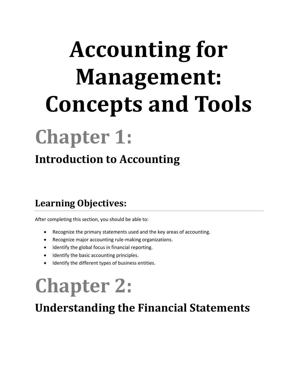# **Accounting for Management: Concepts and Tools**

## **Chapter 1:**

### **Introduction to Accounting**

#### **Learning Objectives:**

After completing this section, you should be able to:

- Recognize the primary statements used and the key areas of accounting.
- Recognize major accounting rule-making organizations.
- Identify the global focus in financial reporting.
- Identify the basic accounting principles.
- Identify the different types of business entities.

## **Chapter 2:**

### **Understanding the Financial Statements**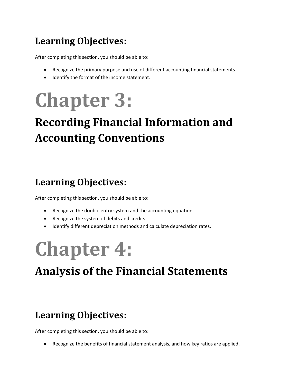### **Learning Objectives:**

After completing this section, you should be able to:

- Recognize the primary purpose and use of different accounting financial statements.
- Identify the format of the income statement.

## **Chapter 3:**

## **Recording Financial Information and Accounting Conventions**

### **Learning Objectives:**

After completing this section, you should be able to:

- Recognize the double entry system and the accounting equation.
- Recognize the system of debits and credits.
- Identify different depreciation methods and calculate depreciation rates.

## **Chapter 4:**

### **Analysis of the Financial Statements**

#### **Learning Objectives:**

After completing this section, you should be able to:

Recognize the benefits of financial statement analysis, and how key ratios are applied.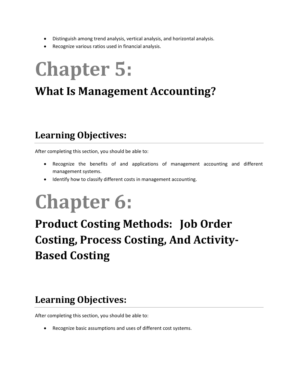- Distinguish among trend analysis, vertical analysis, and horizontal analysis.
- Recognize various ratios used in financial analysis.

## **Chapter 5:**

### **What Is Management Accounting?**

#### **Learning Objectives:**

After completing this section, you should be able to:

- Recognize the benefits of and applications of management accounting and different management systems.
- Identify how to classify different costs in management accounting.

## **Chapter 6:**

## **Product Costing Methods: Job Order Costing, Process Costing, And Activity-Based Costing**

#### **Learning Objectives:**

After completing this section, you should be able to:

Recognize basic assumptions and uses of different cost systems.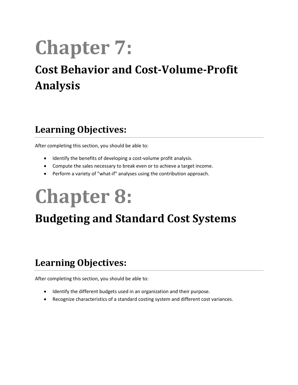## **Chapter 7:**

### **Cost Behavior and Cost-Volume-Profit Analysis**

### **Learning Objectives:**

After completing this section, you should be able to:

- Identify the benefits of developing a cost-volume profit analysis.
- Compute the sales necessary to break even or to achieve a target income.
- Perform a variety of "what-if" analyses using the contribution approach.

## **Chapter 8:**

### **Budgeting and Standard Cost Systems**

#### **Learning Objectives:**

After completing this section, you should be able to:

- Identify the different budgets used in an organization and their purpose.
- Recognize characteristics of a standard costing system and different cost variances.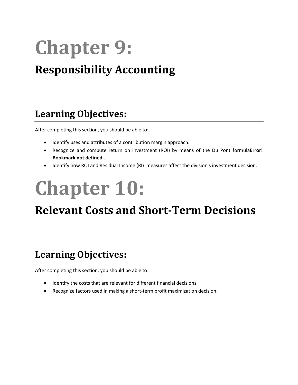## **Chapter 9: Responsibility Accounting**

### **Learning Objectives:**

After completing this section, you should be able to:

- Identify uses and attributes of a contribution margin approach.
- Recognize and compute return on investment (ROI) by means of the Du Pont formula**Error! Bookmark not defined.**.
- Identify how ROI and Residual Income (RI) measures affect the division's investment decision.

## **Chapter 10:**

### **Relevant Costs and Short-Term Decisions**

#### **Learning Objectives:**

After completing this section, you should be able to:

- Identify the costs that are relevant for different financial decisions.
- Recognize factors used in making a short-term profit maximization decision.